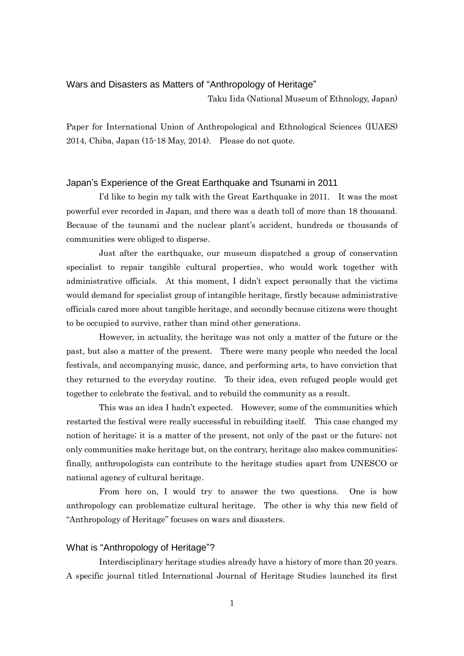# Wars and Disasters as Matters of "Anthropology of Heritage"

Taku Iida (National Museum of Ethnology, Japan)

Paper for International Union of Anthropological and Ethnological Sciences (IUAES) 2014, Chiba, Japan (15-18 May, 2014). Please do not quote.

## Japan's Experience of the Great Earthquake and Tsunami in 2011

I'd like to begin my talk with the Great Earthquake in 2011. It was the most powerful ever recorded in Japan, and there was a death toll of more than 18 thousand. Because of the tsunami and the nuclear plant's accident, hundreds or thousands of communities were obliged to disperse.

Just after the earthquake, our museum dispatched a group of conservation specialist to repair tangible cultural properties, who would work together with administrative officials. At this moment, I didn't expect personally that the victims would demand for specialist group of intangible heritage, firstly because administrative officials cared more about tangible heritage, and secondly because citizens were thought to be occupied to survive, rather than mind other generations.

However, in actuality, the heritage was not only a matter of the future or the past, but also a matter of the present. There were many people who needed the local festivals, and accompanying music, dance, and performing arts, to have conviction that they returned to the everyday routine. To their idea, even refuged people would get together to celebrate the festival, and to rebuild the community as a result.

This was an idea I hadn't expected. However, some of the communities which restarted the festival were really successful in rebuilding itself. This case changed my notion of heritage; it is a matter of the present, not only of the past or the future; not only communities make heritage but, on the contrary, heritage also makes communities; finally, anthropologists can contribute to the heritage studies apart from UNESCO or national agency of cultural heritage.

From here on, I would try to answer the two questions. One is how anthropology can problematize cultural heritage. The other is why this new field of "Anthropology of Heritage" focuses on wars and disasters.

## What is "Anthropology of Heritage"?

Interdisciplinary heritage studies already have a history of more than 20 years. A specific journal titled International Journal of Heritage Studies launched its first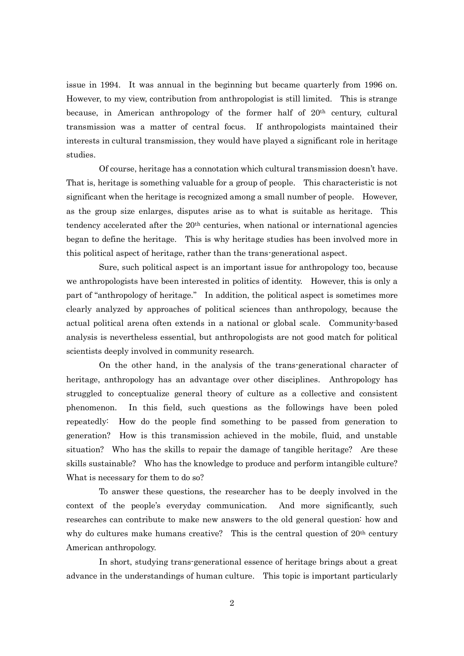issue in 1994. It was annual in the beginning but became quarterly from 1996 on. However, to my view, contribution from anthropologist is still limited. This is strange because, in American anthropology of the former half of  $20<sup>th</sup>$  century, cultural transmission was a matter of central focus. If anthropologists maintained their interests in cultural transmission, they would have played a significant role in heritage studies.

Of course, heritage has a connotation which cultural transmission doesn't have. That is, heritage is something valuable for a group of people. This characteristic is not significant when the heritage is recognized among a small number of people. However, as the group size enlarges, disputes arise as to what is suitable as heritage. This tendency accelerated after the 20<sup>th</sup> centuries, when national or international agencies began to define the heritage. This is why heritage studies has been involved more in this political aspect of heritage, rather than the trans-generational aspect.

Sure, such political aspect is an important issue for anthropology too, because we anthropologists have been interested in politics of identity. However, this is only a part of "anthropology of heritage." In addition, the political aspect is sometimes more clearly analyzed by approaches of political sciences than anthropology, because the actual political arena often extends in a national or global scale. Community-based analysis is nevertheless essential, but anthropologists are not good match for political scientists deeply involved in community research.

On the other hand, in the analysis of the trans-generational character of heritage, anthropology has an advantage over other disciplines. Anthropology has struggled to conceptualize general theory of culture as a collective and consistent phenomenon. In this field, such questions as the followings have been poled repeatedly: How do the people find something to be passed from generation to generation? How is this transmission achieved in the mobile, fluid, and unstable situation? Who has the skills to repair the damage of tangible heritage? Are these skills sustainable? Who has the knowledge to produce and perform intangible culture? What is necessary for them to do so?

To answer these questions, the researcher has to be deeply involved in the context of the people's everyday communication. And more significantly, such researches can contribute to make new answers to the old general question: how and why do cultures make humans creative? This is the central question of  $20<sup>th</sup>$  century American anthropology.

In short, studying trans-generational essence of heritage brings about a great advance in the understandings of human culture. This topic is important particularly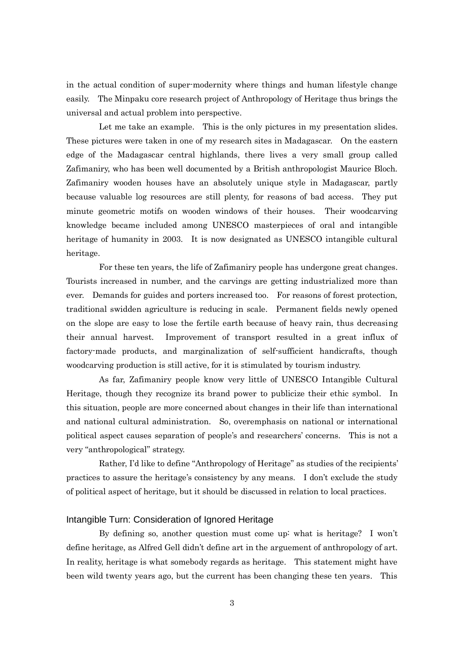in the actual condition of super-modernity where things and human lifestyle change easily. The Minpaku core research project of Anthropology of Heritage thus brings the universal and actual problem into perspective.

Let me take an example. This is the only pictures in my presentation slides. These pictures were taken in one of my research sites in Madagascar. On the eastern edge of the Madagascar central highlands, there lives a very small group called Zafimaniry, who has been well documented by a British anthropologist Maurice Bloch. Zafimaniry wooden houses have an absolutely unique style in Madagascar, partly because valuable log resources are still plenty, for reasons of bad access. They put minute geometric motifs on wooden windows of their houses. Their woodcarving knowledge became included among UNESCO masterpieces of oral and intangible heritage of humanity in 2003. It is now designated as UNESCO intangible cultural heritage.

For these ten years, the life of Zafimaniry people has undergone great changes. Tourists increased in number, and the carvings are getting industrialized more than ever. Demands for guides and porters increased too. For reasons of forest protection, traditional swidden agriculture is reducing in scale. Permanent fields newly opened on the slope are easy to lose the fertile earth because of heavy rain, thus decreasing their annual harvest. Improvement of transport resulted in a great influx of factory-made products, and marginalization of self-sufficient handicrafts, though woodcarving production is still active, for it is stimulated by tourism industry.

As far, Zafimaniry people know very little of UNESCO Intangible Cultural Heritage, though they recognize its brand power to publicize their ethic symbol. In this situation, people are more concerned about changes in their life than international and national cultural administration. So, overemphasis on national or international political aspect causes separation of people's and researchers' concerns. This is not a very "anthropological" strategy.

Rather, I'd like to define "Anthropology of Heritage" as studies of the recipients' practices to assure the heritage's consistency by any means. I don't exclude the study of political aspect of heritage, but it should be discussed in relation to local practices.

#### Intangible Turn: Consideration of Ignored Heritage

By defining so, another question must come up: what is heritage? I won't define heritage, as Alfred Gell didn't define art in the arguement of anthropology of art. In reality, heritage is what somebody regards as heritage. This statement might have been wild twenty years ago, but the current has been changing these ten years. This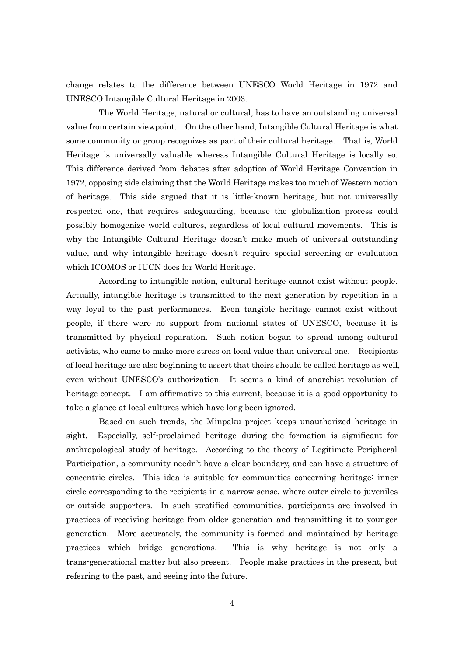change relates to the difference between UNESCO World Heritage in 1972 and UNESCO Intangible Cultural Heritage in 2003.

The World Heritage, natural or cultural, has to have an outstanding universal value from certain viewpoint. On the other hand, Intangible Cultural Heritage is what some community or group recognizes as part of their cultural heritage. That is, World Heritage is universally valuable whereas Intangible Cultural Heritage is locally so. This difference derived from debates after adoption of World Heritage Convention in 1972, opposing side claiming that the World Heritage makes too much of Western notion of heritage. This side argued that it is little-known heritage, but not universally respected one, that requires safeguarding, because the globalization process could possibly homogenize world cultures, regardless of local cultural movements. This is why the Intangible Cultural Heritage doesn't make much of universal outstanding value, and why intangible heritage doesn't require special screening or evaluation which ICOMOS or IUCN does for World Heritage.

According to intangible notion, cultural heritage cannot exist without people. Actually, intangible heritage is transmitted to the next generation by repetition in a way loyal to the past performances. Even tangible heritage cannot exist without people, if there were no support from national states of UNESCO, because it is transmitted by physical reparation. Such notion began to spread among cultural activists, who came to make more stress on local value than universal one. Recipients of local heritage are also beginning to assert that theirs should be called heritage as well, even without UNESCO's authorization. It seems a kind of anarchist revolution of heritage concept. I am affirmative to this current, because it is a good opportunity to take a glance at local cultures which have long been ignored.

Based on such trends, the Minpaku project keeps unauthorized heritage in sight. Especially, self-proclaimed heritage during the formation is significant for anthropological study of heritage. According to the theory of Legitimate Peripheral Participation, a community needn't have a clear boundary, and can have a structure of concentric circles. This idea is suitable for communities concerning heritage: inner circle corresponding to the recipients in a narrow sense, where outer circle to juveniles or outside supporters. In such stratified communities, participants are involved in practices of receiving heritage from older generation and transmitting it to younger generation. More accurately, the community is formed and maintained by heritage practices which bridge generations. This is why heritage is not only a trans-generational matter but also present. People make practices in the present, but referring to the past, and seeing into the future.